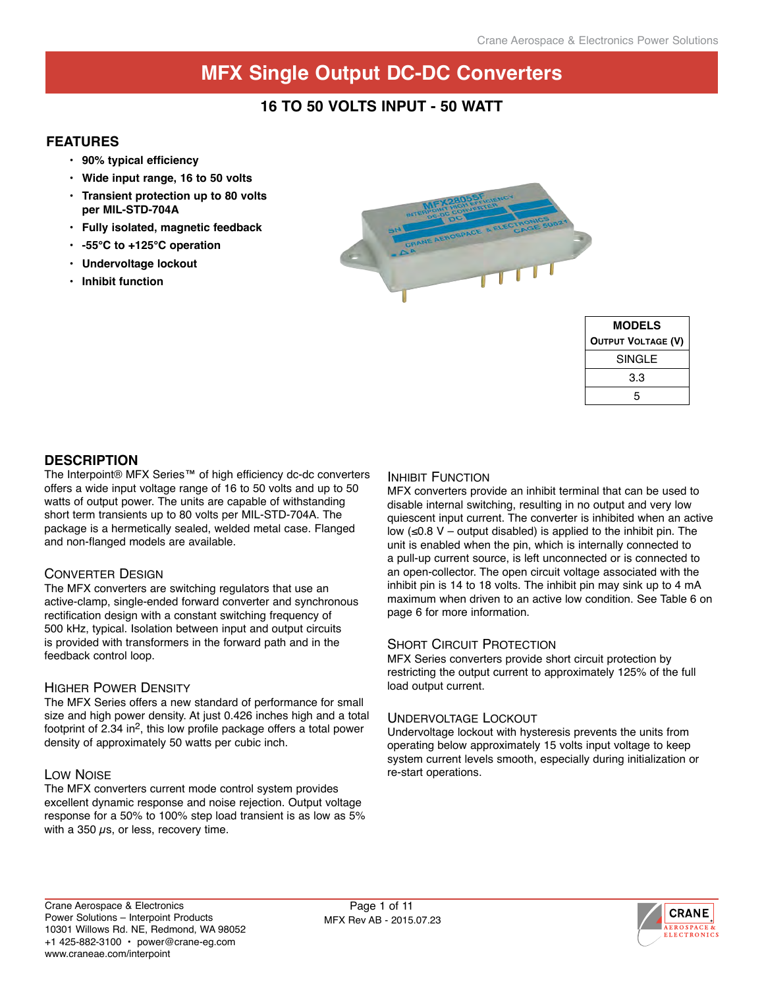### **16 to 50 Volts Input - 50 Watt**

### **Features**

- **• 90% typical efficiency**
- **• Wide input range, 16 to 50 volts**
- **• Transient protection up to 80 volts per MIL-STD-704A**
- **• Fully isolated, magnetic feedback**
- **• -55°C to +125°C operation**
- **• Undervoltage lockout**
- **• Inhibit function**



| <b>MODELS</b>             |  |  |  |  |
|---------------------------|--|--|--|--|
| <b>OUTPUT VOLTAGE (V)</b> |  |  |  |  |
| <b>SINGLE</b>             |  |  |  |  |
| 33                        |  |  |  |  |
| 5                         |  |  |  |  |

### **description**

The Interpoint® MFX Series™ of high efficiency dc-dc converters offers a wide input voltage range of 16 to 50 volts and up to 50 watts of output power. The units are capable of withstanding short term transients up to 80 volts per MIL-STD-704A. The package is a hermetically sealed, welded metal case. Flanged and non-flanged models are available.

#### Converter Design

The MFX converters are switching regulators that use an active-clamp, single-ended forward converter and synchronous rectification design with a constant switching frequency of 500 kHz, typical. Isolation between input and output circuits is provided with transformers in the forward path and in the feedback control loop.

#### Higher Power Density

The MFX Series offers a new standard of performance for small size and high power density. At just 0.426 inches high and a total footprint of 2.34 in2, this low profile package offers a total power density of approximately 50 watts per cubic inch.

### Low Noise

The MFX converters current mode control system provides excellent dynamic response and noise rejection. Output voltage response for a 50% to 100% step load transient is as low as 5% with a 350  $\mu$ s, or less, recovery time.

#### INHIBIT FUNCTION

MFX converters provide an inhibit terminal that can be used to disable internal switching, resulting in no output and very low quiescent input current. The converter is inhibited when an active low (≤0.8 V – output disabled) is applied to the inhibit pin. The unit is enabled when the pin, which is internally connected to a pull-up current source, is left unconnected or is connected to an open-collector. The open circuit voltage associated with the inhibit pin is 14 to 18 volts. The inhibit pin may sink up to 4 mA maximum when driven to an active low condition. See Table 6 on page 6 for more information.

#### **SHORT CIRCUIT PROTECTION**

MFX Series converters provide short circuit protection by restricting the output current to approximately 125% of the full load output current.

#### Undervoltage Lockout

Undervoltage lockout with hysteresis prevents the units from operating below approximately 15 volts input voltage to keep system current levels smooth, especially during initialization or re-start operations.

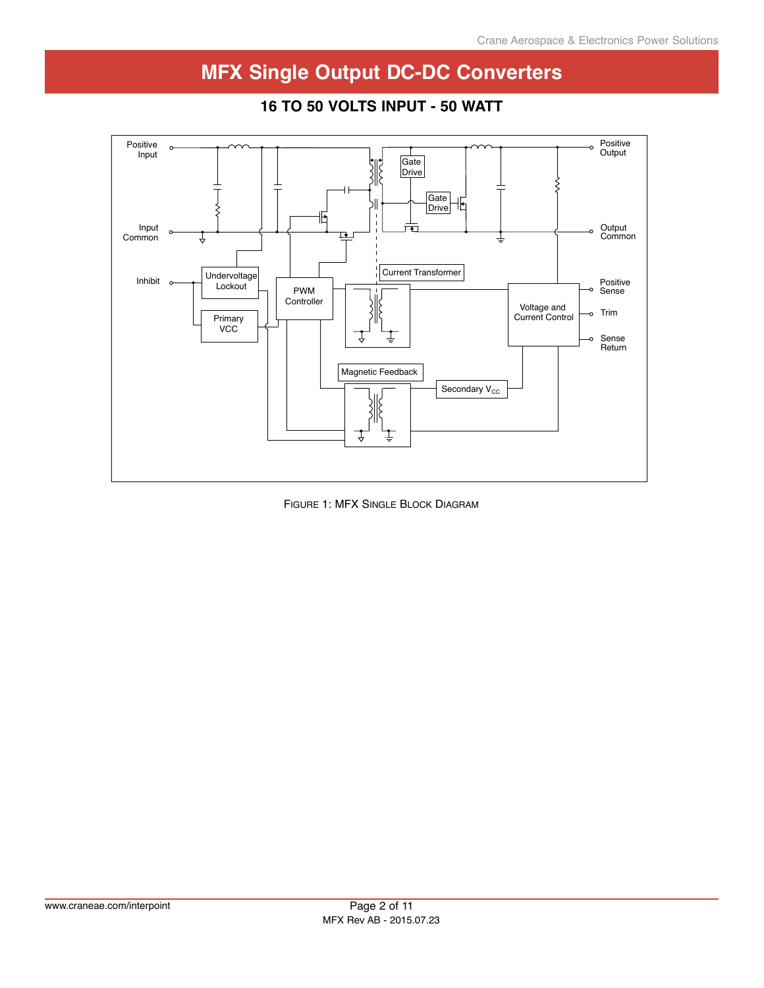

### **28 Volt input – 25 Watt 16 to 50 Volts Input - 50 Watt**

Figure 1: MFX Single Block Diagram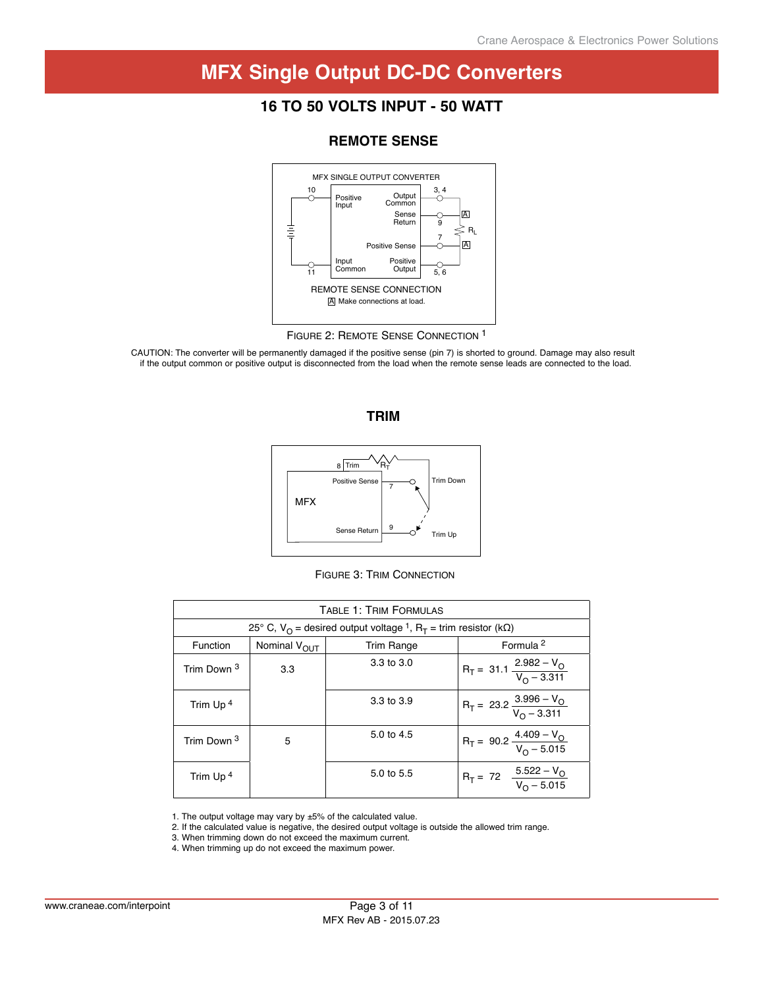### **28 Volt input – 25 Watt 16 to 50 Volts Input - 50 Watt**



### **Remote sensE**

CAUTION: The converter will be permanently damaged if the positive sense (pin 7) is shorted to ground. Damage may also result if the output common or positive output is disconnected from the load when the remote sense leads are connected to the load.





Figure 3: Trim Connection

| <b>TABLE 1: TRIM FORMULAS</b>                                                                              |                                                                |            |                                              |  |  |  |  |  |
|------------------------------------------------------------------------------------------------------------|----------------------------------------------------------------|------------|----------------------------------------------|--|--|--|--|--|
| 25° C, V <sub>O</sub> = desired output voltage <sup>1</sup> , R <sub>T</sub> = trim resistor (k $\Omega$ ) |                                                                |            |                                              |  |  |  |  |  |
| Function                                                                                                   | Formula <sup>2</sup><br>Nominal V <sub>OUT</sub><br>Trim Range |            |                                              |  |  |  |  |  |
| Trim Down 3                                                                                                | 3.3                                                            | 3.3 to 3.0 | $R_T = 31.1 \frac{2.982 - V_O}{V_O - 3.311}$ |  |  |  |  |  |
| Trim Up <sup>4</sup>                                                                                       |                                                                | 3.3 to 3.9 | $R_T = 23.2 \frac{3.996 - V_O}{V_O - 3.311}$ |  |  |  |  |  |
| Trim Down 3                                                                                                | 5                                                              | 5.0 to 4.5 | $R_T = 90.2 \frac{4.409 - V_O}{V_O - 5.015}$ |  |  |  |  |  |
| Trim Up <sup>4</sup>                                                                                       |                                                                | 5.0 to 5.5 | $R_T = 72$ $\frac{5.522 - V_O}{V_O - 5.015}$ |  |  |  |  |  |

1. The output voltage may vary by ±5% of the calculated value.

2. If the calculated value is negative, the desired output voltage is outside the allowed trim range.

3. When trimming down do not exceed the maximum current.

4. When trimming up do not exceed the maximum power.

Figure 2: Remote Sense Connection 1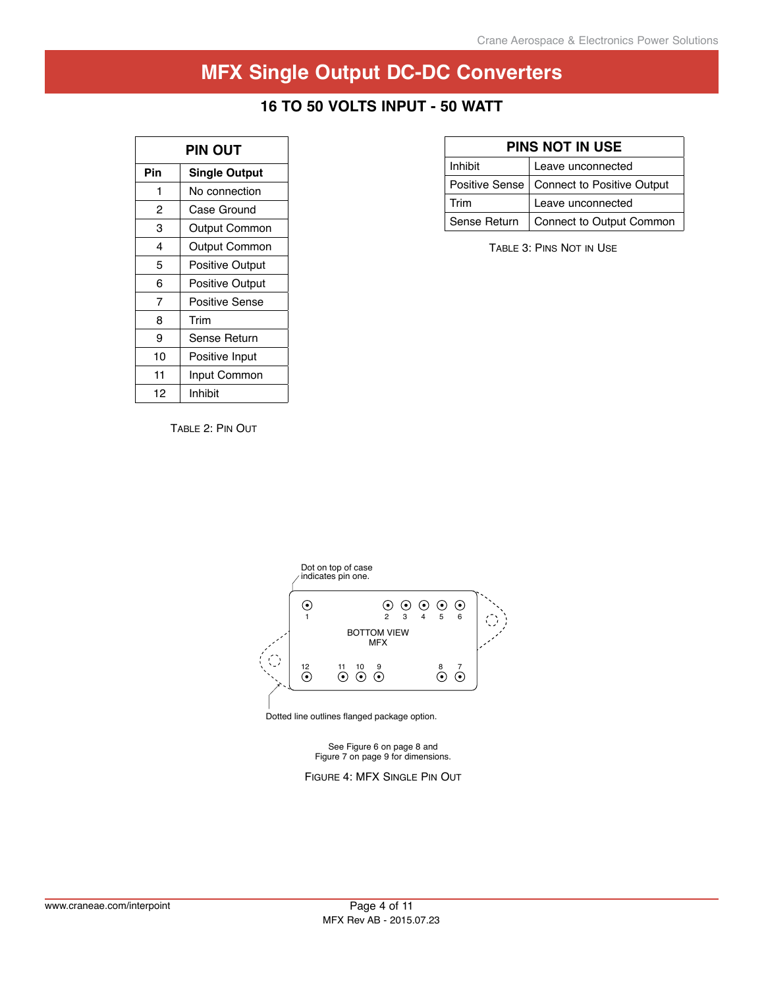### **28 Volt input – 25 Watt 16 to 50 Volts Input - 50 Watt**

| PIN OUT |                        |  |  |  |
|---------|------------------------|--|--|--|
| Pin     | <b>Single Output</b>   |  |  |  |
| 1       | No connection          |  |  |  |
| 2       | Case Ground            |  |  |  |
| з       | Output Common          |  |  |  |
| 4       | Output Common          |  |  |  |
| 5       | Positive Output        |  |  |  |
| 6       | <b>Positive Output</b> |  |  |  |
| 7       | Positive Sense         |  |  |  |
| 8       | Trim                   |  |  |  |
| 9       | Sense Return           |  |  |  |
| 10      | Positive Input         |  |  |  |
| 11      | Input Common           |  |  |  |
| 12      | Inhibit                |  |  |  |

|  | <b>PINS NOT IN USE</b> |  |
|--|------------------------|--|
|  |                        |  |

| Inhibit      | Leave unconnected                           |
|--------------|---------------------------------------------|
|              | Positive Sense   Connect to Positive Output |
| Trim         | Leave unconnected                           |
| Sense Return | Connect to Output Common                    |

Table 3: Pins Not in Use

Table 2: Pin Out



Dotted line outlines flanged package option.

See Figure 6 on page 8 and Figure 7 on page 9 for dimensions.

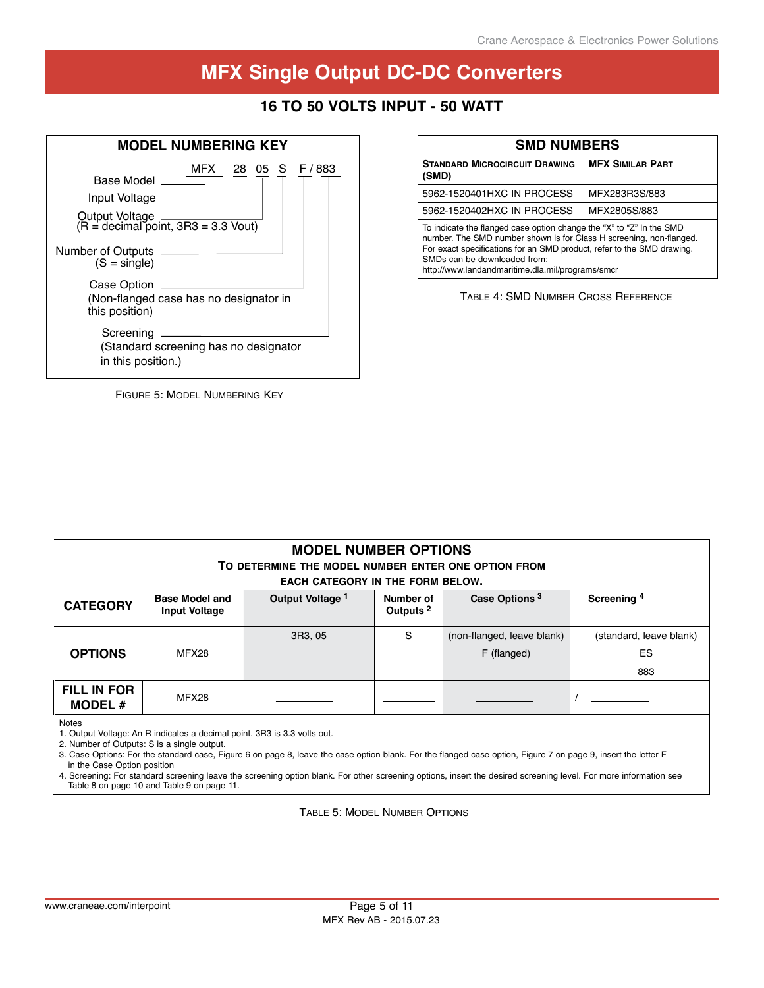# **28 Volt input – 25 Watt 16 to 50 Volts Input - 50 Watt**



| FIGURE 5: MODEL NUMBERING KEY |
|-------------------------------|
|-------------------------------|

| <b>SMD NUMBERS</b>                                                                                                                                                                                                                                                                                        |                         |  |  |  |  |
|-----------------------------------------------------------------------------------------------------------------------------------------------------------------------------------------------------------------------------------------------------------------------------------------------------------|-------------------------|--|--|--|--|
| <b>STANDARD MICROCIRCUIT DRAWING</b><br>(SMD)                                                                                                                                                                                                                                                             | <b>MFX SIMILAR PART</b> |  |  |  |  |
| 5962-1520401HXC IN PROCESS                                                                                                                                                                                                                                                                                | MFX283R3S/883           |  |  |  |  |
| 5962-1520402HXC IN PROCESS                                                                                                                                                                                                                                                                                | MFX2805S/883            |  |  |  |  |
| To indicate the flanged case option change the "X" to "Z" In the SMD<br>number. The SMD number shown is for Class H screening, non-flanged.<br>For exact specifications for an SMD product, refer to the SMD drawing.<br>SMDs can be downloaded from:<br>http://www.landandmaritime.dla.mil/programs/smcr |                         |  |  |  |  |

Table 4: SMD Number Cross Reference

| <b>MODEL NUMBER OPTIONS</b><br>TO DETERMINE THE MODEL NUMBER ENTER ONE OPTION FROM<br><b>EACH CATEGORY IN THE FORM BELOW.</b>                                                    |                                      |  |  |  |  |  |  |
|----------------------------------------------------------------------------------------------------------------------------------------------------------------------------------|--------------------------------------|--|--|--|--|--|--|
| Case Options <sup>3</sup><br>Output Voltage 1<br>Screening <sup>4</sup><br><b>Base Model and</b><br>Number of<br><b>CATEGORY</b><br>Outputs <sup>2</sup><br><b>Input Voltage</b> |                                      |  |  |  |  |  |  |
| <b>OPTIONS</b>                                                                                                                                                                   | (standard, leave blank)<br>ES<br>883 |  |  |  |  |  |  |
| <b>FILL IN FOR</b><br>MODEL $#$                                                                                                                                                  | MFX28                                |  |  |  |  |  |  |

Notes

1. Output Voltage: An R indicates a decimal point. 3R3 is 3.3 volts out.

2. Number of Outputs: S is a single output.

3. Case Options: For the standard case, Figure 6 on page 8, leave the case option blank. For the flanged case option, Figure 7 on page 9, insert the letter F in the Case Option position

4. Screening: For standard screening leave the screening option blank. For other screening options, insert the desired screening level. For more information see Table 8 on page 10 and Table 9 on page 11.

Table 5: Model Number Options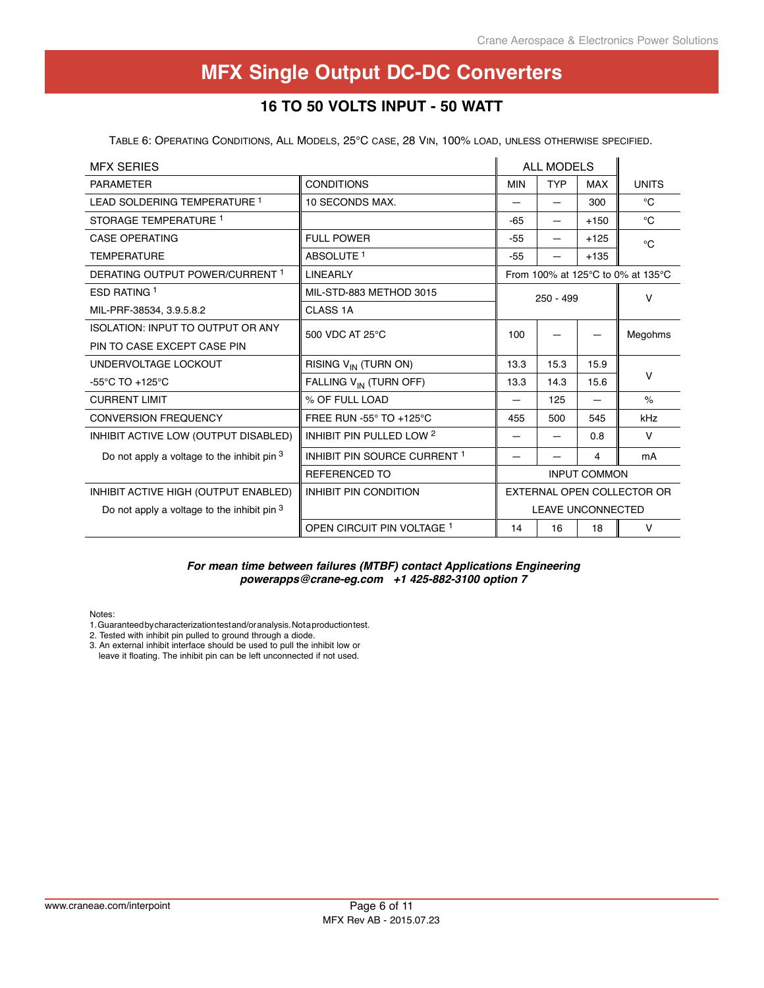# **28 Volt input – 25 Watt 16 to 50 Volts Input - 50 Watt**

Table 6: Operating Conditions, All Models, 25°C case, 28 Vin, 100% load, unless otherwise specified.

| <b>MFX SERIES</b>                             |                                     | <b>ALL MODELS</b>          |             |                     |                                   |
|-----------------------------------------------|-------------------------------------|----------------------------|-------------|---------------------|-----------------------------------|
| <b>PARAMETER</b>                              | <b>CONDITIONS</b>                   | <b>MIN</b>                 | <b>TYP</b>  | <b>MAX</b>          | <b>UNITS</b>                      |
| LEAD SOLDERING TEMPERATURE 1                  | 10 SECONDS MAX.                     |                            |             | 300                 | °C                                |
| STORAGE TEMPERATURE 1                         |                                     | -65                        | —           | $+150$              | $^{\circ}C$                       |
| <b>CASE OPERATING</b>                         | <b>FULL POWER</b>                   | $-55$                      |             | $+125$              | $^{\circ}C$                       |
| <b>TEMPERATURE</b>                            | ABSOLUTE <sup>1</sup>               | $-55$                      |             | $+135$              |                                   |
| DERATING OUTPUT POWER/CURRENT 1               | <b>LINEARLY</b>                     |                            |             |                     | From 100% at 125°C to 0% at 135°C |
| ESD RATING 1                                  | MIL-STD-883 METHOD 3015             |                            | $250 - 499$ |                     | $\vee$                            |
| MIL-PRF-38534, 3.9.5.8.2                      | CLASS <sub>1A</sub>                 |                            |             |                     |                                   |
| <b>ISOLATION: INPUT TO OUTPUT OR ANY</b>      | 500 VDC AT 25°C                     | 100                        |             |                     | Megohms                           |
| PIN TO CASE EXCEPT CASE PIN                   |                                     |                            |             |                     |                                   |
| UNDERVOLTAGE LOCKOUT                          | RISING V <sub>IN</sub> (TURN ON)    | 13.3                       | 15.3        | 15.9                |                                   |
| -55 $\degree$ C TO +125 $\degree$ C           | FALLING V <sub>IN</sub> (TURN OFF)  | 13.3                       | 14.3        | 15.6                | $\mathsf{V}$                      |
| <b>CURRENT LIMIT</b>                          | % OF FULL LOAD                      |                            | 125         |                     | $\frac{1}{2}$                     |
| <b>CONVERSION FREQUENCY</b>                   | FREE RUN -55° TO +125°C             | 455                        | 500         | 545                 | kHz                               |
| INHIBIT ACTIVE LOW (OUTPUT DISABLED)          | INHIBIT PIN PULLED LOW <sup>2</sup> |                            |             | 0.8                 | $\vee$                            |
| Do not apply a voltage to the inhibit pin 3   | INHIBIT PIN SOURCE CURRENT 1        |                            |             | 4                   | mA                                |
|                                               | <b>REFERENCED TO</b>                |                            |             | <b>INPUT COMMON</b> |                                   |
| INHIBIT ACTIVE HIGH (OUTPUT ENABLED)          | <b>INHIBIT PIN CONDITION</b>        | EXTERNAL OPEN COLLECTOR OR |             |                     |                                   |
| Do not apply a voltage to the inhibit pin $3$ |                                     | <b>LEAVE UNCONNECTED</b>   |             |                     |                                   |
|                                               | OPEN CIRCUIT PIN VOLTAGE 1          | 14                         | 16          | 18                  | $\vee$                            |

#### *For mean time between failures (MTBF) contact Applications Engineering powerapps@crane-eg.com +1 425-882-3100 option 7*

Notes:

- 1. Guaranteed by characterization test and/or analysis. Not a production test.
- 2. Tested with inhibit pin pulled to ground through a diode.
- 3. An external inhibit interface should be used to pull the inhibit low or leave it floating. The inhibit pin can be left unconnected if not used.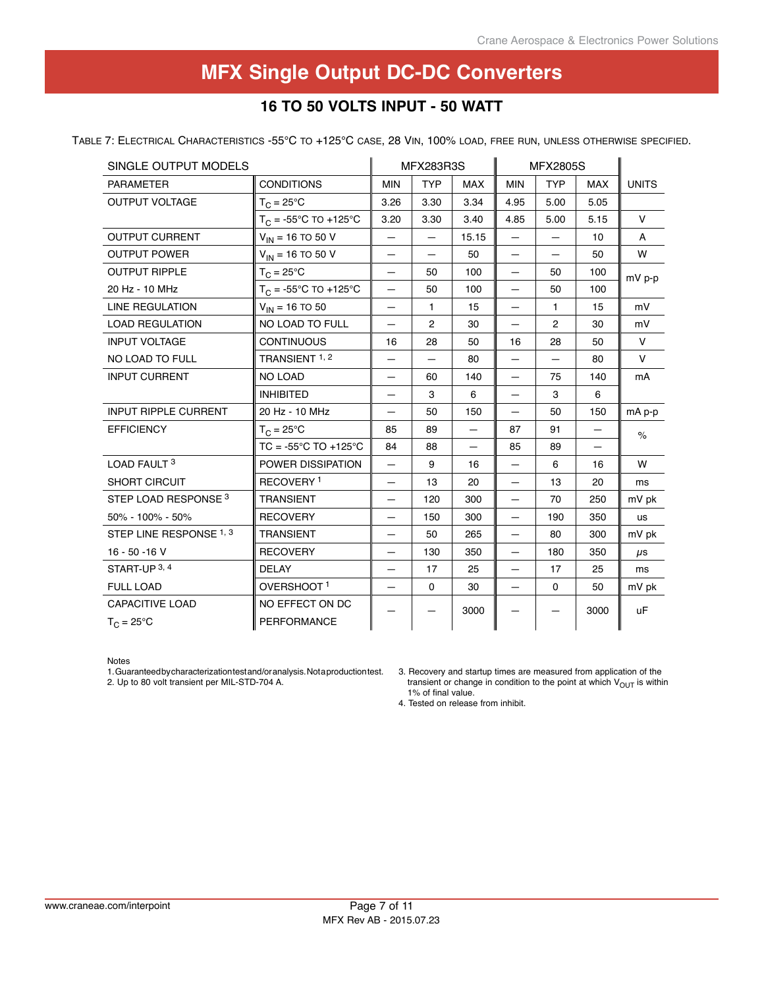# **28 Volt input – 25 Watt 16 to 50 Volts Input - 50 Watt**

Table 7: Electrical Characteristics -55°C to +125°C case, 28 Vin, 100% load, free run, unless otherwise specified.

| SINGLE OUTPUT MODELS            |                                      |                          | <b>MFX283R3S</b>         |                          |                          | <b>MFX2805S</b> |            |              |
|---------------------------------|--------------------------------------|--------------------------|--------------------------|--------------------------|--------------------------|-----------------|------------|--------------|
| <b>PARAMETER</b>                | <b>CONDITIONS</b>                    | <b>MIN</b>               | <b>TYP</b>               | <b>MAX</b>               | <b>MIN</b>               | <b>TYP</b>      | <b>MAX</b> | <b>UNITS</b> |
| <b>OUTPUT VOLTAGE</b>           | $T_C = 25^{\circ}C$                  | 3.26                     | 3.30                     | 3.34                     | 4.95                     | 5.00            | 5.05       |              |
|                                 | $T_C = -55^{\circ}C$ TO +125°C       | 3.20                     | 3.30                     | 3.40                     | 4.85                     | 5.00            | 5.15       | $\vee$       |
| <b>OUTPUT CURRENT</b>           | $V_{IN}$ = 16 TO 50 V                | $\equiv$                 | $\overline{\phantom{0}}$ | 15.15                    |                          |                 | 10         | A            |
| <b>OUTPUT POWER</b>             | $V_{IN}$ = 16 TO 50 V                | —                        | $\equiv$                 | 50                       |                          | $\equiv$        | 50         | W            |
| <b>OUTPUT RIPPLE</b>            | $T_C = 25^{\circ}C$                  | —                        | 50                       | 100                      | $\qquad \qquad -$        | 50              | 100        | $mV$ p-p     |
| 20 Hz - 10 MHz                  | $T_C = -55^{\circ}C$ TO +125°C       | —                        | 50                       | 100                      | —                        | 50              | 100        |              |
| <b>LINE REGULATION</b>          | $V_{IN}$ = 16 TO 50                  | $\overline{\phantom{0}}$ | $\mathbf{1}$             | 15                       |                          | 1.              | 15         | mV           |
| <b>LOAD REGULATION</b>          | NO LOAD TO FULL                      | $\equiv$                 | $\overline{2}$           | 30                       | $\equiv$                 | $\overline{2}$  | 30         | mV           |
| <b>INPUT VOLTAGE</b>            | <b>CONTINUOUS</b>                    | 16                       | 28                       | 50                       | 16                       | 28              | 50         | $\vee$       |
| NO LOAD TO FULL                 | TRANSIENT 1, 2                       | —                        |                          | 80                       |                          | —               | 80         | $\vee$       |
| <b>INPUT CURRENT</b>            | NO LOAD                              |                          | 60                       | 140                      |                          | 75              | 140        | mA           |
|                                 | <b>INHIBITED</b>                     | —                        | 3                        | 6                        | $\overline{\phantom{0}}$ | 3               | 6          |              |
| <b>INPUT RIPPLE CURRENT</b>     | 20 Hz - 10 MHz                       | —                        | 50                       | 150                      |                          | 50              | 150        | mA p-p       |
| <b>EFFICIENCY</b>               | $T_{C} = 25^{\circ}C$                | 85                       | 89                       | $\overline{\phantom{0}}$ | 87                       | 91              | —          | $\%$         |
|                                 | $TC = -55^{\circ}C TO +125^{\circ}C$ | 84                       | 88                       |                          | 85                       | 89              |            |              |
| LOAD FAULT 3                    | POWER DISSIPATION                    | $\equiv$                 | 9                        | 16                       | $\equiv$                 | 6               | 16         | W            |
| <b>SHORT CIRCUIT</b>            | RECOVERY <sup>1</sup>                | —                        | 13                       | 20                       | $\equiv$                 | 13              | 20         | ms           |
| STEP LOAD RESPONSE <sup>3</sup> | <b>TRANSIENT</b>                     | —                        | 120                      | 300                      | $\equiv$                 | 70              | 250        | mV pk        |
| 50% - 100% - 50%                | <b>RECOVERY</b>                      |                          | 150                      | 300                      |                          | 190             | 350        | us           |
| STEP LINE RESPONSE 1, 3         | <b>TRANSIENT</b>                     | —                        | 50                       | 265                      | $\equiv$                 | 80              | 300        | mV pk        |
| $16 - 50 - 16$ V                | <b>RECOVERY</b>                      | —                        | 130                      | 350                      | $\overline{\phantom{0}}$ | 180             | 350        | $\mu$ s      |
| START-UP 3, 4                   | <b>DELAY</b>                         |                          | 17                       | 25                       | $\overline{\phantom{0}}$ | 17              | 25         | ms           |
| <b>FULL LOAD</b>                | OVERSHOOT <sup>1</sup>               |                          | $\mathbf 0$              | 30                       |                          | $\mathbf 0$     | 50         | mV pk        |
| <b>CAPACITIVE LOAD</b>          | NO EFFECT ON DC                      |                          |                          | 3000                     |                          |                 | 3000       | <b>uF</b>    |
| $T_C = 25^{\circ}C$             | PERFORMANCE                          |                          |                          |                          |                          |                 |            |              |

Notes

1. Guaranteed by characterization test and/or analysis. Not a production test. 2. Up to 80 volt transient per MIL-STD-704 A.

3. Recovery and startup times are measured from application of the transient or change in condition to the point at which  $V_{OUT}$  is within 1% of final value.

4. Tested on release from inhibit.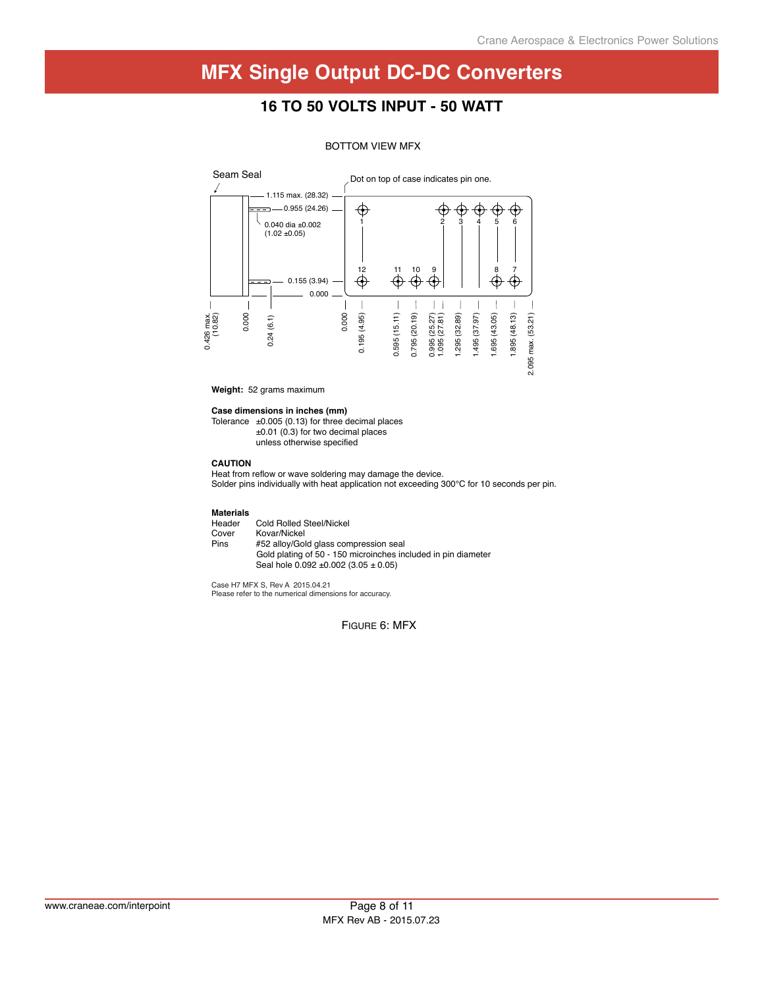### **16 to 50 Volts Input - 50 Watt**



#### BOTTOM VIEW MFX

**Weight:** 52 grams maximum

**Case dimensions in inches (mm)**

Tolerance  $\pm 0.005$  (0.13) for three decimal places ±0.01 (0.3) for two decimal places unless otherwise specified

#### **CAUTION**

Heat from reflow or wave soldering may damage the device. Solder pins individually with heat application not exceeding 300°C for 10 seconds per pin.

**Materials** Header Cold Rolled Steel/Nickel<br>Cover Kovar/Nickel Cover Kovar/Nickel<br>Pins #52 alloy/Gol #52 alloy/Gold glass compression seal Gold plating of 50 - 150 microinches included in pin diameter Seal hole 0.092 ±0.002 (3.05 ± 0.05)

Case H7 MFX S, Rev A 2015.04.21 Please refer to the numerical dimensions for accuracy.

Figure 6: MFX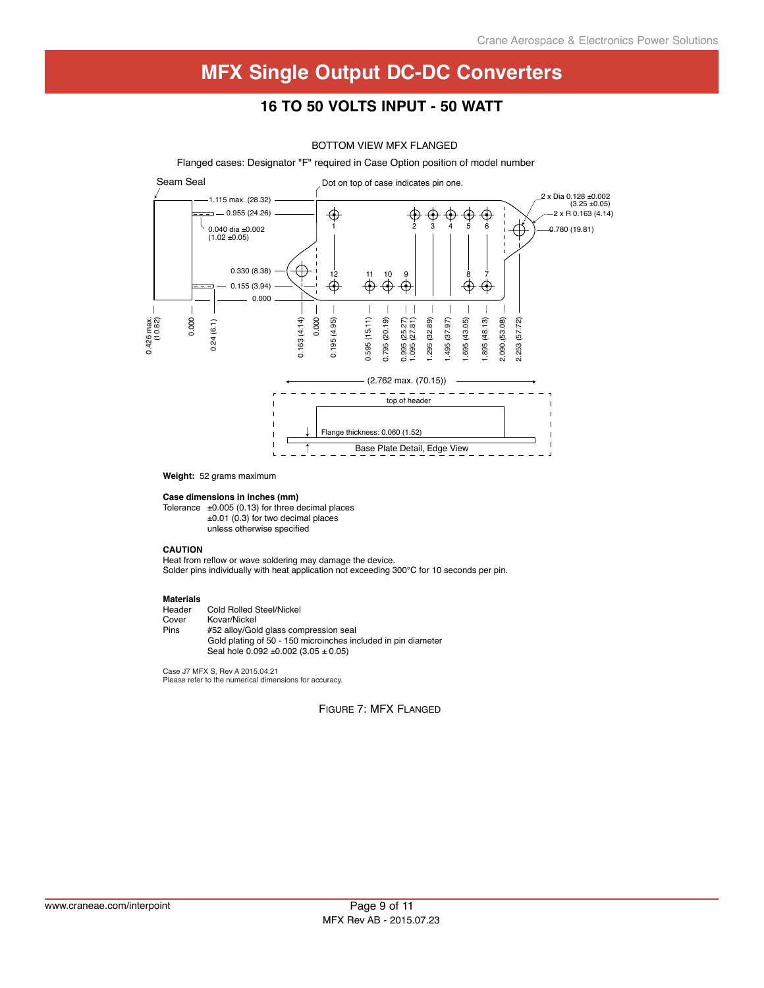### **16 to 50 Volts Input - 50 Watt**

#### BOTTOM VIEW MFX FLANGED



**Weight:** 52 grams maximum

**Case dimensions in inches (mm)**

Tolerance  $\pm 0.005$  (0.13) for three decimal places ±0.01 (0.3) for two decimal places unless otherwise specified

#### **CAUTION**

Heat from reflow or wave soldering may damage the device. Solder pins individually with heat application not exceeding 300°C for 10 seconds per pin.

### **Materials**

Header Cold Rolled Steel/Nickel<br>Cover Kovar/Nickel Cover Kovar/Nickel<br>Pins #52 allov/Gol Pins #52 alloy/Gold glass compression seal Gold plating of 50 - 150 microinches included in pin diameter Seal hole 0.092 ±0.002 (3.05 ± 0.05)

Case J7 MFX S, Rev A 2015.04.21 Please refer to the numerical dimensions for accuracy.

Figure 7: MFX Flanged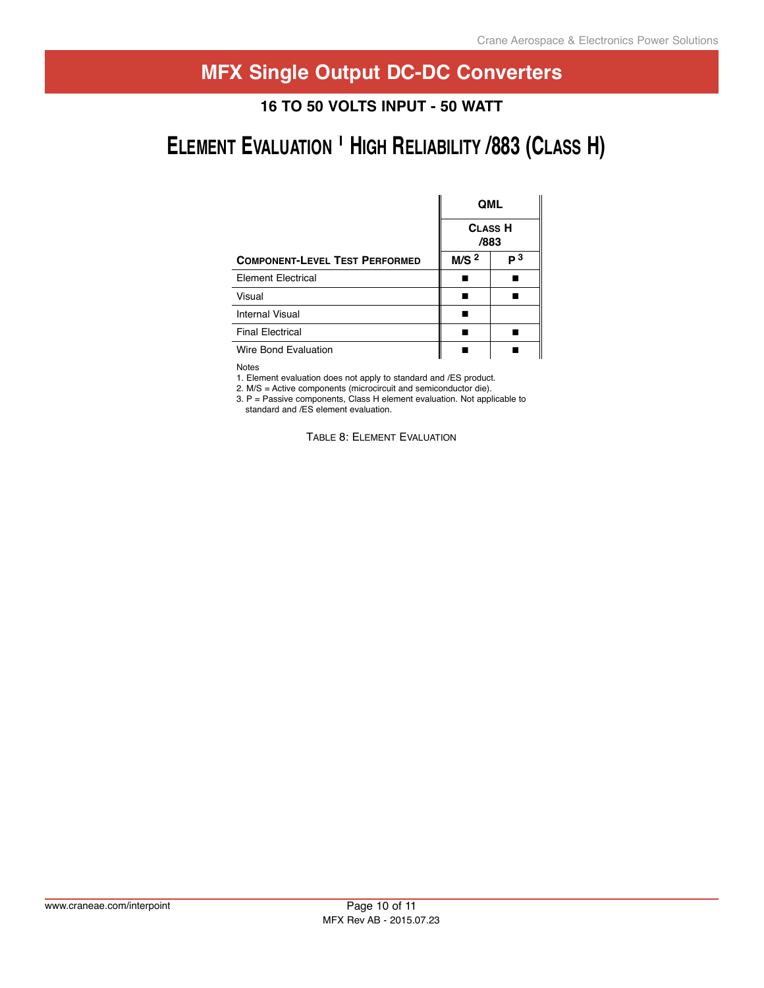### **Application Contract Contract Contract Contract Contract Contract Contract Contract Contract Contract Contract 28 Volt input – 25 Watt 16 to 50 Volts Input - 50 Watt**

# **ELEMENT EVALUATION<sup>1</sup> HIGH RELIABILITY /883 (CLASS H)**

|                                       | <b>QML</b>             |    |  |
|---------------------------------------|------------------------|----|--|
|                                       | <b>CLASS H</b><br>/883 |    |  |
| <b>COMPONENT-LEVEL TEST PERFORMED</b> | M/S <sup>2</sup>       | р3 |  |
| <b>Element Electrical</b>             |                        |    |  |
| Visual                                |                        |    |  |
| Internal Visual                       |                        |    |  |
| <b>Final Electrical</b>               |                        |    |  |
| Wire Bond Evaluation                  |                        |    |  |

Notes

1. Element evaluation does not apply to standard and /ES product.

2. M/s = Active components (microcircuit and semiconductor die).

3. P = Passive components, Class H element evaluation. Not applicable to standard and /ES element evaluation.

Table 8: Element Evaluation